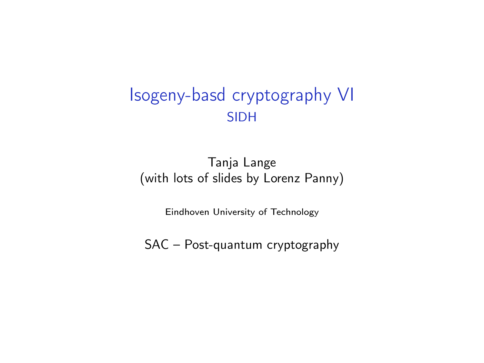#### Isogeny-basd cryptography VI SIDH

#### Tanja Lange (with lots of slides by Lorenz Panny)

Eindhoven University of Technology

SAC – Post-quantum cryptography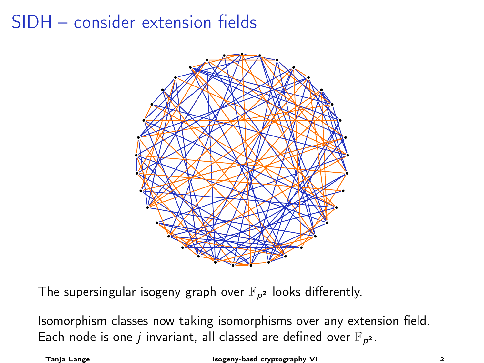# SIDH – consider extension fields



The supersingular isogeny graph over  $\mathbb{F}_{p^2}$  looks differently.

Isomorphism classes now taking isomorphisms over any extension field. Each node is one *j* invariant, all classed are defined over  $\mathbb{F}_{p^2}$ .

Tanja Lange Isogeny-basd cryptography VI 2014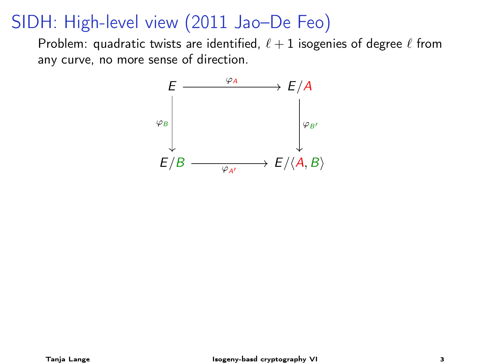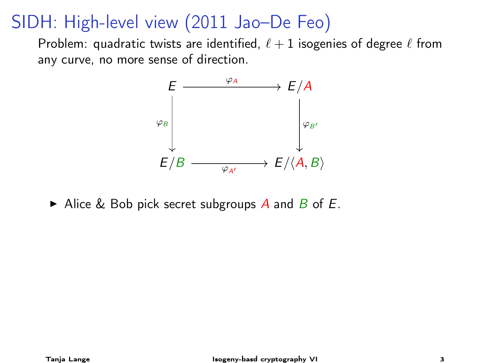Problem: quadratic twists are identified,  $\ell + 1$  isogenies of degree  $\ell$  from any curve, no more sense of direction.



Alice & Bob pick secret subgroups A and B of E.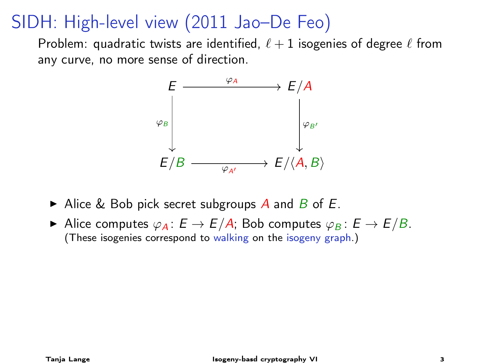

- Alice & Bob pick secret subgroups A and B of E.
- Alice computes  $\varphi_A : E \to E/A$ ; Bob computes  $\varphi_B : E \to E/B$ . (These isogenies correspond to walking on the isogeny graph.)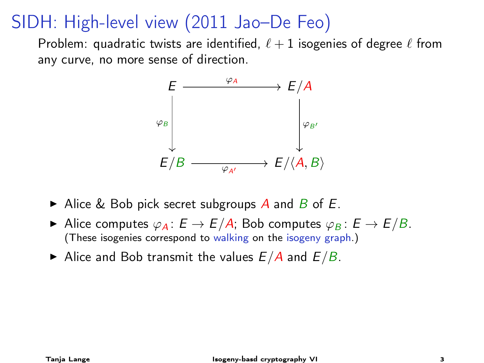

- Alice & Bob pick secret subgroups A and B of E.
- Alice computes  $\varphi_A : E \to E/A$ ; Bob computes  $\varphi_B : E \to E/B$ . (These isogenies correspond to walking on the isogeny graph.)
- Alice and Bob transmit the values  $E/A$  and  $E/B$ .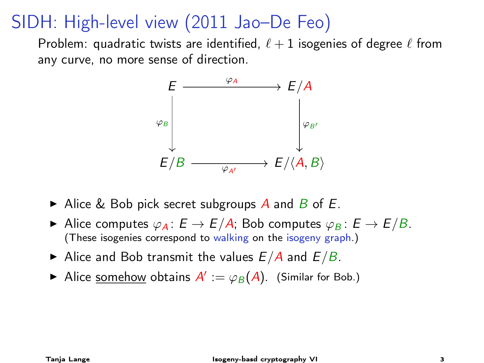

- Alice & Bob pick secret subgroups  $\overline{A}$  and  $\overline{B}$  of  $\overline{E}$ .
- Alice computes  $\varphi_A : E \to E/A$ ; Bob computes  $\varphi_B : E \to E/B$ . (These isogenies correspond to walking on the isogeny graph.)
- Alice and Bob transmit the values  $E/A$  and  $E/B$ .
- Alice <u>somehow</u> obtains  $A' := \varphi_B(A)$ . (Similar for Bob.)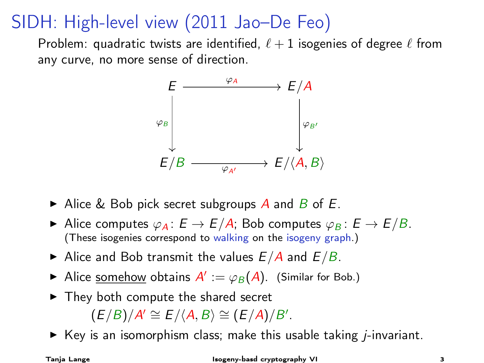Problem: quadratic twists are identified,  $\ell + 1$  isogenies of degree  $\ell$  from any curve, no more sense of direction.



- Alice & Bob pick secret subgroups  $\overline{A}$  and  $\overline{B}$  of  $\overline{E}$ .
- Alice computes  $\varphi_A : E \to E/A$ ; Bob computes  $\varphi_B : E \to E/B$ . (These isogenies correspond to walking on the isogeny graph.)
- Alice and Bob transmit the values  $E/A$  and  $E/B$ .
- Alice <u>somehow</u> obtains  $A' := \varphi_B(A)$ . (Similar for Bob.)
- $\blacktriangleright$  They both compute the shared secret  $(E/B)/A' \cong E/\langle A, B \rangle \cong (E/A)/B'.$
- $\triangleright$  Key is an isomorphism class; make this usable taking *j*-invariant.

#### Tanja Lange Isogeny-basd cryptography VI 3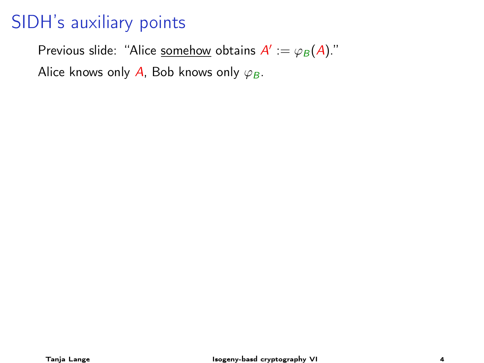# SIDH's auxiliary points

Previous slide: "Alice <u>somehow</u> obtains  $A':=\varphi_B(A)$ ." Alice knows only A, Bob knows only  $\varphi_B$ .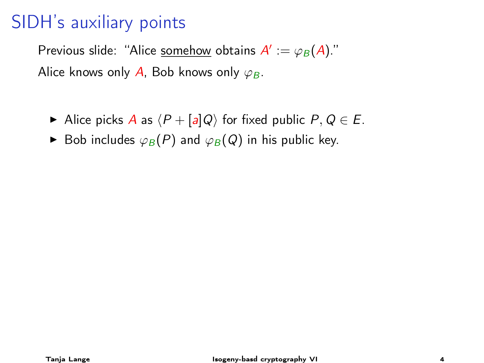### SIDH's auxiliary points

Previous slide: "Alice <u>somehow</u> obtains  $A':=\varphi_B(A)$ ." Alice knows only A, Bob knows only  $\varphi_B$ .

- Alice picks A as  $\langle P + [a]Q \rangle$  for fixed public  $P, Q \in E$ .
- ► Bob includes  $\varphi_B(P)$  and  $\varphi_B(Q)$  in his public key.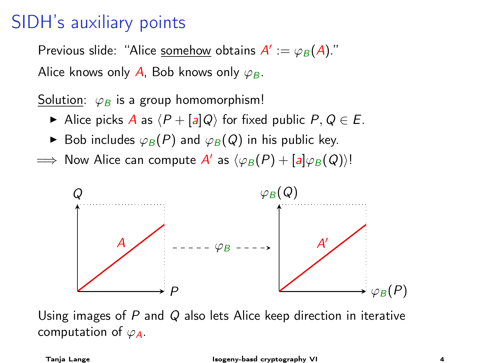#### SIDH's auxiliary points

Previous slide: "Alice <u>somehow</u> obtains  $A':=\varphi_B(A)$ ." Alice knows only A, Bob knows only  $\varphi_B$ .

Solution:  $\varphi_B$  is a group homomorphism!

- Alice picks A as  $\langle P + [a]Q \rangle$  for fixed public  $P, Q \in E$ .
- ► Bob includes  $\varphi_B(P)$  and  $\varphi_B(Q)$  in his public key.
- $\implies$  Now Alice can compute  $A'$  as  $\langle \varphi_B(P) + [a] \varphi_B(Q) \rangle!$



Using images of  $P$  and  $Q$  also lets Alice keep direction in iterative computation of  $\varphi_A$ .

Tanja Lange Isogeny-basd cryptography VI 4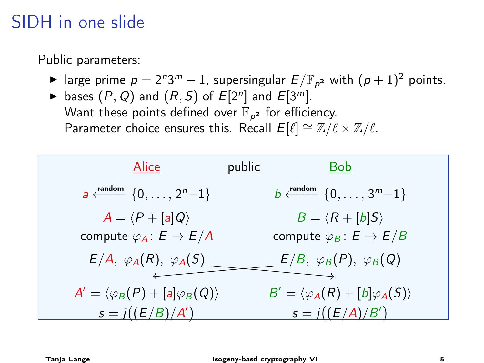# SIDH in one slide

Public parameters:

- ► large prime  $p=2^n3^m-1$ , supersingular  $E/\mathbb{F}_{p^2}$  with  $(p+1)^2$  points.
- bases  $(P, Q)$  and  $(R, S)$  of  $E[2^n]$  and  $E[3^m]$ . Want these points defined over  $\mathbb{F}_{\rho^{\mathbf{2}}}$  for efficiency. Parameter choice ensures this. Recall  $E[\ell] \cong \mathbb{Z}/\ell \times \mathbb{Z}/\ell$ .

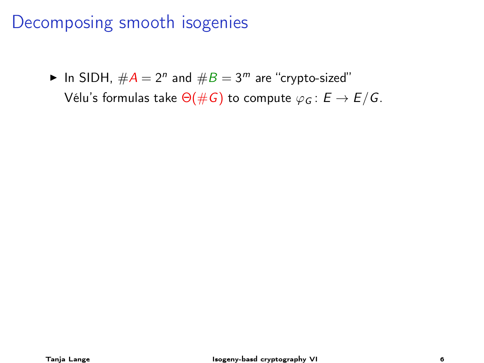▶ In SIDH,  $\#A = 2^n$  and  $\#B = 3^m$  are "crypto-sized" Vélu's formulas take  $\Theta(\#G)$  to compute  $\varphi_G : E \to E/G$ .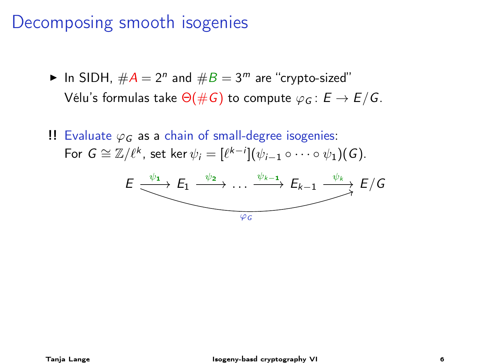- ▶ In SIDH,  $\#A = 2^n$  and  $\#B = 3^m$  are "crypto-sized" Vélu's formulas take  $\Theta(\#G)$  to compute  $\varphi_G : E \to E/G$ .
- !! Evaluate  $\varphi_G$  as a chain of small-degree isogenies: For  $G \cong \mathbb{Z}/\ell^k$ , set ker  $\psi_i = [\ell^{k-i}](\psi_{i-1} \circ \cdots \circ \psi_1)(G)$ .

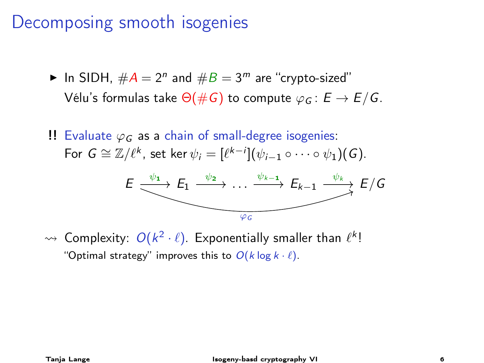- ▶ In SIDH,  $\#A = 2^n$  and  $\#B = 3^m$  are "crypto-sized" Vélu's formulas take  $\Theta(\#G)$  to compute  $\varphi_G : E \to E/G$ .
- !! Evaluate  $\varphi_G$  as a chain of small-degree isogenies: For  $G \cong \mathbb{Z}/\ell^k$ , set ker  $\psi_i = [\ell^{k-i}](\psi_{i-1} \circ \cdots \circ \psi_1)(G)$ .



 $\rightsquigarrow$  Complexity:  $O(k^2 \cdot \ell)$ . Exponentially smaller than  $\ell^k!$ "Optimal strategy" improves this to  $O(k \log k \cdot \ell)$ .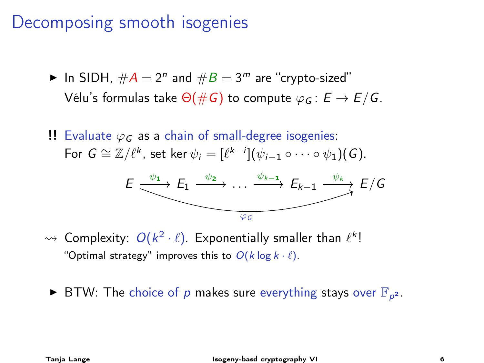- ▶ In SIDH,  $\#A = 2^n$  and  $\#B = 3^m$  are "crypto-sized" Vélu's formulas take  $\Theta(\#G)$  to compute  $\varphi_G : E \to E/G$ .
- !! Evaluate  $\varphi_G$  as a chain of small-degree isogenies: For  $G \cong \mathbb{Z}/\ell^k$ , set ker  $\psi_i = [\ell^{k-i}](\psi_{i-1} \circ \cdots \circ \psi_1)(G)$ .



- $\rightsquigarrow$  Complexity:  $O(k^2 \cdot \ell)$ . Exponentially smaller than  $\ell^k!$ "Optimal strategy" improves this to  $O(k \log k \cdot \ell)$ .
- ▶ BTW: The choice of  $p$  makes sure everything stays over  $\mathbb{F}_{p^2}$ .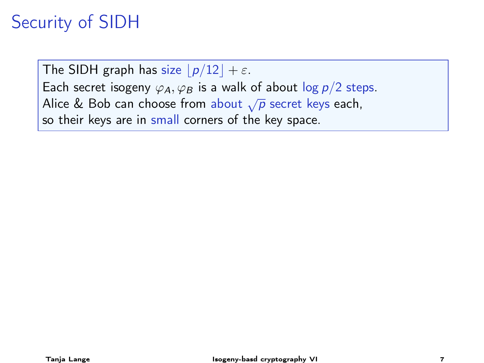# Security of SIDH

The SIDH graph has size  $\lfloor p/12 \rfloor + \varepsilon$ . Each secret isogeny  $\varphi_A$ ,  $\varphi_B$  is a walk of about  $\log p/2$  steps. Alice & Bob can choose from about  $\sqrt{p}$  secret keys each, so their keys are in small corners of the key space.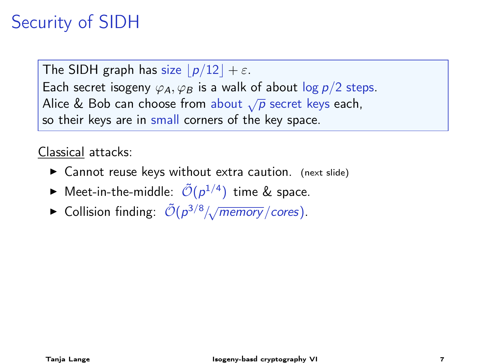# Security of SIDH

The SIDH graph has size  $\lfloor p/12 \rfloor + \varepsilon$ . Each secret isogeny  $\varphi_A$ ,  $\varphi_B$  is a walk of about log  $p/2$  steps. Alice & Bob can choose from about  $\sqrt{p}$  secret keys each, so their keys are in small corners of the key space.

Classical attacks:

- $\triangleright$  Cannot reuse keys without extra caution. (next slide)
- $\blacktriangleright$  Meet-in-the-middle:  $\tilde{\mathcal{O}}(p^{1/4})$  time & space.
- ► Collision finding:  $\tilde{\mathcal{O}}(p^{3/8}/\sqrt{memory}/cores)$ .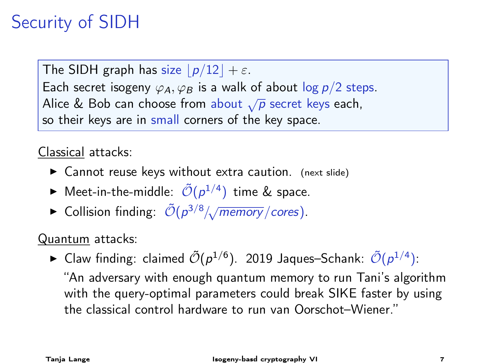# Security of SIDH

The SIDH graph has size  $\lfloor p/12 \rfloor + \varepsilon$ . Each secret isogeny  $\varphi_A$ ,  $\varphi_B$  is a walk of about log  $p/2$  steps. Alice & Bob can choose from about  $\sqrt{p}$  secret keys each, so their keys are in small corners of the key space.

Classical attacks:

- $\triangleright$  Cannot reuse keys without extra caution. (next slide)
- $\blacktriangleright$  Meet-in-the-middle:  $\tilde{\mathcal{O}}(p^{1/4})$  time & space.
- ► Collision finding:  $\tilde{\mathcal{O}}(p^{3/8}/\sqrt{memory}/cores)$ .

Quantum attacks:

► Claw finding: claimed  $\tilde{\mathcal{O}}(p^{1/6})$ . 2019 Jaques–Schank:  $\tilde{\mathcal{O}}(p^{1/4})$ : "An adversary with enough quantum memory to run Tani's algorithm with the query-optimal parameters could break SIKE faster by using

the classical control hardware to run van Oorschot–Wiener."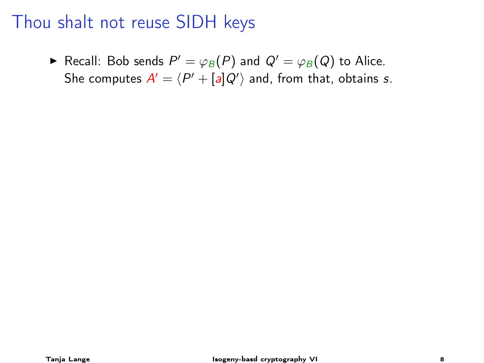$\blacktriangleright$  Recall: Bob sends  $P' = \varphi_B(P)$  and  $Q' = \varphi_B(Q)$  to Alice. She computes  $A' = \langle P' + [a]Q' \rangle$  and, from that, obtains s.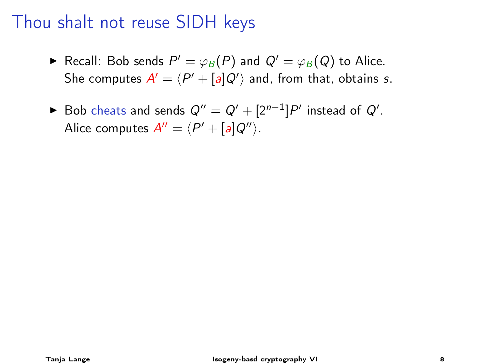- $\blacktriangleright$  Recall: Bob sends  $P' = \varphi_B(P)$  and  $Q' = \varphi_B(Q)$  to Alice. She computes  $A' = \langle P' + [a]Q' \rangle$  and, from that, obtains s.
- ► Bob cheats and sends  $Q'' = Q' + [2^{n-1}]P'$  instead of  $Q'$ . Alice computes  $A'' = \langle P' + [a]Q'' \rangle$ .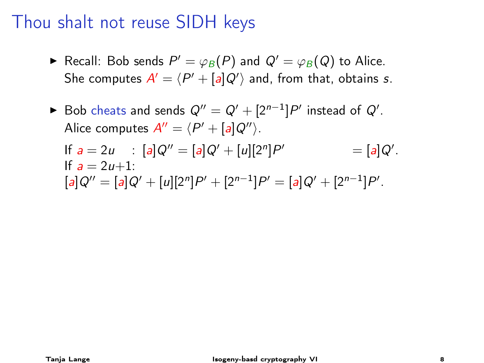- $\blacktriangleright$  Recall: Bob sends  $P' = \varphi_B(P)$  and  $Q' = \varphi_B(Q)$  to Alice. She computes  $A' = \langle P' + [a]Q' \rangle$  and, from that, obtains s.
- ► Bob cheats and sends  $Q'' = Q' + [2^{n-1}]P'$  instead of  $Q'$ . Alice computes  $A'' = \langle P' + [a]Q'' \rangle$ . If  $a = 2u$  :  $[a]Q'' = [a]Q' + [u][2<sup>n</sup>]P$  $\mathcal{O}' = [a]Q'.$ If  $a = 2u+1$ :  $[a]Q'' = [a]Q' + [u][2<sup>n</sup>]P' + [2<sup>n-1</sup>]P' = [a]Q' + [2<sup>n-1</sup>]P'.$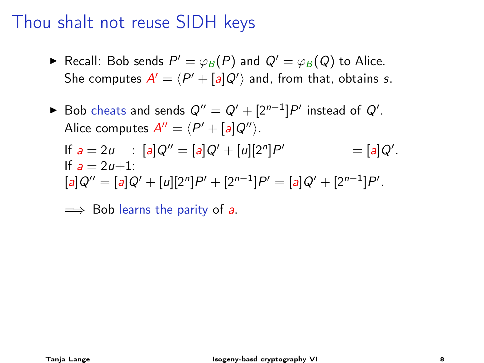- $\blacktriangleright$  Recall: Bob sends  $P' = \varphi_B(P)$  and  $Q' = \varphi_B(Q)$  to Alice. She computes  $A' = \langle P' + [a]Q' \rangle$  and, from that, obtains s.
- ► Bob cheats and sends  $Q'' = Q' + [2^{n-1}]P'$  instead of  $Q'$ . Alice computes  $A'' = \langle P' + [a]Q'' \rangle$ . If  $a = 2u$  :  $[a]Q'' = [a]Q' + [u][2<sup>n</sup>]P$  $\mathcal{O}' = [a]Q'.$ If  $a = 2u+1$ :  $[a]Q'' = [a]Q' + [u][2<sup>n</sup>]P' + [2<sup>n-1</sup>]P' = [a]Q' + [2<sup>n-1</sup>]P'.$

 $\implies$  Bob learns the parity of a.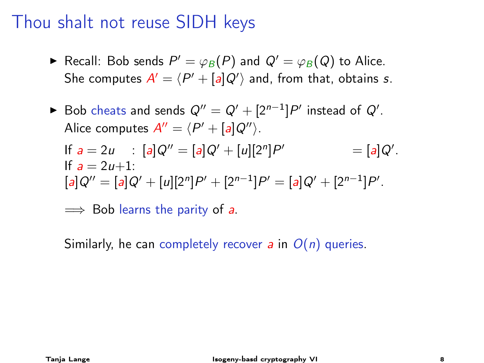- $\blacktriangleright$  Recall: Bob sends  $P' = \varphi_B(P)$  and  $Q' = \varphi_B(Q)$  to Alice. She computes  $A' = \langle P' + [a]Q' \rangle$  and, from that, obtains s.
- ► Bob cheats and sends  $Q'' = Q' + [2^{n-1}]P'$  instead of  $Q'$ . Alice computes  $A'' = \langle P' + [a]Q'' \rangle$ . If  $a = 2u$  :  $[a]Q'' = [a]Q' + [u][2<sup>n</sup>]P$  $\mathcal{O}' = [a]Q'.$ If  $a = 2u+1$ :  $[a]Q'' = [a]Q' + [u][2<sup>n</sup>]P' + [2<sup>n-1</sup>]P' = [a]Q' + [2<sup>n-1</sup>]P'.$

 $\implies$  Bob learns the parity of a.

Similarly, he can completely recover a in  $O(n)$  queries.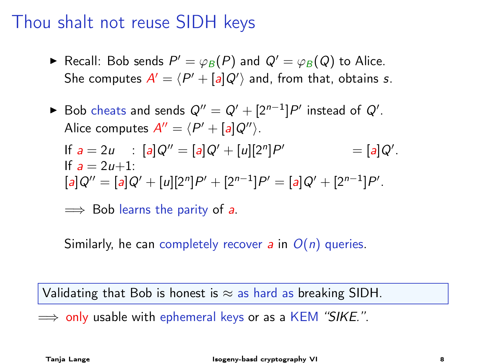- $\blacktriangleright$  Recall: Bob sends  $P' = \varphi_B(P)$  and  $Q' = \varphi_B(Q)$  to Alice. She computes  $A' = \langle P' + [a]Q' \rangle$  and, from that, obtains s.
- ► Bob cheats and sends  $Q'' = Q' + [2^{n-1}]P'$  instead of  $Q'$ . Alice computes  $A'' = \langle P' + [a]Q'' \rangle$ . If  $a = 2u$  :  $[a]Q'' = [a]Q' + [u][2<sup>n</sup>]P$  $\mathcal{O}' = [a]Q'.$ If  $a = 2u+1$ :  $[a]Q'' = [a]Q' + [u][2<sup>n</sup>]P' + [2<sup>n-1</sup>]P' = [a]Q' + [2<sup>n-1</sup>]P'.$

 $\implies$  Bob learns the parity of a.

Similarly, he can completely recover a in  $O(n)$  queries.

Validating that Bob is honest is  $\approx$  as hard as breaking SIDH.

 $\implies$  only usable with ephemeral keys or as a KEM "SIKE.".